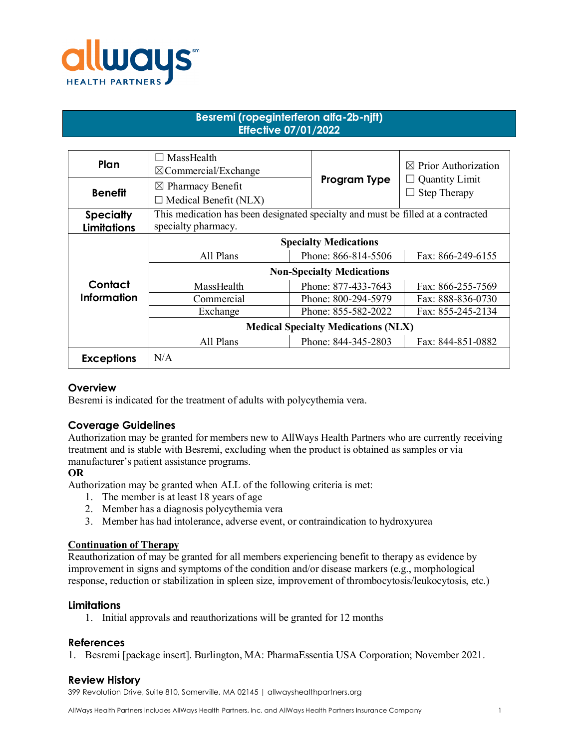

# **Besremi (ropeginterferon alfa-2b-njft) Effective 07/01/2022**

| Plan               | MassHealth<br>$\boxtimes$ Commercial/Exchange                                    |                     | $\boxtimes$ Prior Authorization |
|--------------------|----------------------------------------------------------------------------------|---------------------|---------------------------------|
| <b>Benefit</b>     | $\boxtimes$ Pharmacy Benefit                                                     | Program Type        | <b>Quantity Limit</b>           |
|                    | $\Box$ Medical Benefit (NLX)                                                     |                     | <b>Step Therapy</b>             |
| <b>Specialty</b>   | This medication has been designated specialty and must be filled at a contracted |                     |                                 |
| <b>Limitations</b> | specialty pharmacy.                                                              |                     |                                 |
|                    | <b>Specialty Medications</b>                                                     |                     |                                 |
|                    | All Plans                                                                        | Phone: 866-814-5506 | Fax: 866-249-6155               |
|                    | <b>Non-Specialty Medications</b>                                                 |                     |                                 |
| Contact            | MassHealth                                                                       | Phone: 877-433-7643 | Fax: 866-255-7569               |
| <b>Information</b> | Commercial                                                                       | Phone: 800-294-5979 | Fax: 888-836-0730               |
|                    | Exchange                                                                         | Phone: 855-582-2022 | Fax: 855-245-2134               |
|                    | <b>Medical Specialty Medications (NLX)</b>                                       |                     |                                 |
|                    | All Plans                                                                        | Phone: 844-345-2803 | Fax: 844-851-0882               |
| <b>Exceptions</b>  | N/A                                                                              |                     |                                 |

# **Overview**

Besremi is indicated for the treatment of adults with polycythemia vera.

# **Coverage Guidelines**

Authorization may be granted for members new to AllWays Health Partners who are currently receiving treatment and is stable with Besremi, excluding when the product is obtained as samples or via manufacturer's patient assistance programs.

# **OR**

Authorization may be granted when ALL of the following criteria is met:

- 1. The member is at least 18 years of age
- 2. Member has a diagnosis polycythemia vera
- 3. Member has had intolerance, adverse event, or contraindication to hydroxyurea

## **Continuation of Therapy**

Reauthorization of may be granted for all members experiencing benefit to therapy as evidence by improvement in signs and symptoms of the condition and/or disease markers (e.g., morphological response, reduction or stabilization in spleen size, improvement of thrombocytosis/leukocytosis, etc.)

### **Limitations**

1. Initial approvals and reauthorizations will be granted for 12 months

### **References**

1. Besremi [package insert]. Burlington, MA: PharmaEssentia USA Corporation; November 2021.

# **Review History**

399 Revolution Drive, Suite 810, Somerville, MA 02145 | allwayshealthpartners.org